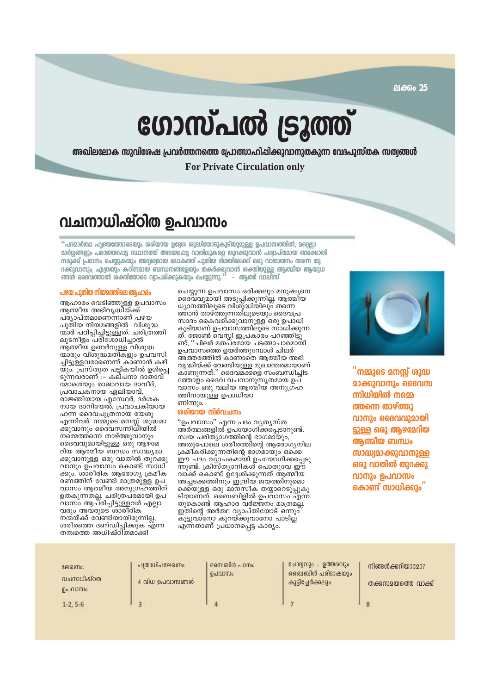ലക്കം 25

# ഗോസ്പൽ ട്രൂത്ത്

അഖിലലോക സുവിശേഷ പ്രവർത്തനത്തെ പ്രോത്സാഹിപ്പിക്കുവാനുതകുന്ന വേദപുസ്തക സത്വങ്ങൾ

**For Private Circulation only** 

# വചനാധിഷ്ഠിത ഉപവാസം

"പരമാർത്ഥ ഹ്വദയത്തോടെയും ശരിയായ ഉദ്ദേശ ശുദ്ധിയോടുകൂടിയുമുള്ള ഉപവാസത്തിൽ, മറ്റെല്ലാ മാർഗ്ഗങ്ങളും പരാജയപ്പെട്ട സ്ഥാനത്ത് അടയ്പ്പെട്ട വാതിലുകളെ തുറക്കുവാൻ പര്വാപ്തമായ താഴേനെൽ നമുക്ക് പ്രദാനം ചെയ്യുകയും അദ്വശ്വമായ ലോകത്ത് പുതിയ ദിരയിലേക്ക് ഒരു വാതായനം തന്നെ തു <u>റക്കുവാനും, എത്രയും കഠിനമായ് ബന്ധനങ്ങളേയും തകർക്കുവാൻ ശക്തിയുള്ള ആത്മീയ ആയുധ</u> ങ്ങൾ ദൈവത്താൽ ശക്തിയോടെ വ്വാപരിക്കുകയും ചെയ്യുന്നു. - അതർ വാലിസ്

## പഴയ പുതിയ നിയമത്തിലെ ആചാരം

ആഹാരം വെടിഞ്ഞുള്ള ഉപവാസം<br>ആത്മീയ അഭിവൃദ്ധിയ്ക്ക് പര്യാപ്തമാണെന്നാണ് പഴയ പുതിയ നിയമങ്ങളിൽ വിശുദ്ധ ന്മാർ പഠിപ്പിച്ചിട്ടുള്ളത്. ചരിത്രത്തി ലുടനീളം പരിശോധിച്ചാൽ ആ്തമീയ ഉണർവുള്ള വിശുദ്ധ ന്മാരും വിശുദ്ധമതികളും ഉപവസി ച്ചിട്ടുള്ളവരാണെന്ന് കാണാൻ കഴി യും. പ്രസ്തുത പട്ടികയിൽ ഉൾപ്പെ ടുന്നവരാണ് :- കല്പനാ ദാതാവ് മോശെയും രാജാവായ ദാവീദ്, പ്രവാചകനായ ഏലിയാവ്, രാജ്ഞിയായ എസ്ഥേർ, ദർശക നായ ദാനിയേൽ, പ്രവാചകിയായ ഹന്ന ദൈവപുത്രനായ യേശു എന്നിവർ. നമ്മുടെ മനസ്സ് ശുദ്ധമാ ക്കുവാനും ദൈവസന്നിധിയിൽ നമ്മെത്തന്നെ താഴ്ത്തുവാനും ദൈവവുമായിട്ടുള്ള ഒരു ആഴ്മേ റിയ ആത്മീയ ബന്ധം സാദ്ധ്യമാ ക്കുവാനുള്ള ഒരു വാതിൽ തുറക്കു വാനും ഉപവാസം കൊണ്ട് സാധി ക്കും. ശാരീരിക ആരോഗ്യ ക്രമീക രണത്തിന് വേണ്ടി മാത്രമുള്ള ഉപ വാസം ആത്മീയ അനുഗ്രഹത്തിന് ഉതകുന്നതല്ല. ചരിത്രപ്രമായി ഉപ വാസം ആച്രിച്ചിട്ടുള്ളവർ എല്ലാ വരും അവരുടെ ശാരീരിക നന്മയ്ക്ക് വേണ്ടിയായിരുന്നില്ല, ശരീരത്തെ ദണ്ഡിപ്പിക്കുക<sub>്</sub>എ്ന്ന തത്വത്തെ അധിഷ്ഠിതമാക്കി

ചെയ്യുന്ന ഉപവാസം ഒരിക്കലും മനുഷ്യനെ ദൈവ്വുമായി അടുപ്പിക്കുന്നില്ല. ആ്തമീയ ധ്യാനത്തിലൂടെ വിശുദ്ധിയിലും തന്നെ ത്താൻ താഴ്ത്തുന്നതിലുടെയും ദൈവപ്ര സാദം കൈവരി്ക്കുവാനുള്ള ഒരു ഉപാധി കൂടിയാണ് ഉപവാസത്തിലൂടെ സാധിക്കുന്ന ത്. ജോൺ വെസ്ലി ഇപ്രകാരം പറഞ്ഞിട്ടു ണ്ട്, ''ചിലർ മതപ്രമായ ചടങ്ങാചാരമായി ഉപവാസത്തെ ഉയർത്തുമ്പോൾ ചിലർ അത്തരത്തിൽ കാണാതെ ആത്മീയ അഭി വൃദ്ധിയ്ക്ക് വേണ്ടിയുള്ള മുഖാന്തരമായാണ് കാണുന്നത്.'' ദൈവമക്കളെ സംബന്ധിചിട ....<br>ത്തോളം ദൈവ വചനാനുസൃതമായ ഉപ് വാസം ഒരു വലിയ ആത്മീയ അനുഗ്രഹ ത്തിനായുള്ള ഉപാധിയാ ണിന്നും.

#### രരിയായ നിർവചനം

"ഉപവാസം" എന്ന പദം വൃതൃസ്ത അർത്ഥങ്ങളിൽ ഉപയോഗിക്കപ്പെടാറുണ്ട്. സ്വയ പരിത്യാഗത്തിന്റെ ഭാഗമായും, അതുപോലെ ശരീരത്തിന്റെ ആരോഗൃനില ക്രമീ്കരിക്കുന്നതിന്റെ ഭാഗ്മായും ഒക്കെ ഈ പദം വ്യാപകമായി ഉപയോഗിക്കപ്പെടു ന്നുണ്ട്. ക്രിസ്ത്യാനികൾ പൊതുവേ ഈ വാക്ക് കൊണ്ട് ഉദേശിക്കുന്നത് ആത്മിയ അച്ചടക്കത്തിനും ഇന്ദ്രിയ ജയത്തിനുമൊ ക്കെയുള്ള ഒരു മാനസീക തയ്യാറെടു്പ്പുകൂ ടിയാണത്. ബൈബിളിൽ ഉപവാസം എന്ന തുകൊണ്ട് ആഹാര വർജ്ജനം മാത്രമല്ല. ഇതിനെ അർത്ഥ വ്യാപ്തിയോട് ഒന്നും കൂട്ടുവാണോ കുറയ്ക്കുവാനോ പാടില്ല എന്നതാണ് പ്രധാനപ്പെട്ട കാര്യം.



്നമ്മുടെ മനസ്സ് ശുദ്ധ **മാക്കുവാനും ദൈവസ** ന്നിധിയിൽ നമ്മെ ത്തന്നെ താഴ്ത്തു വാനും ദൈവവുമായി ട്ടുള്ള ഒരു ആഴമേറിയ ആത്മിയ ബന്ധം **സാദ്ധ്വമാക്കുവാനുള്ള** ഒരു വാതിൽ തുറക്കു വാനും ഉപവാസം കൊണ്ട് സാധിക്കും

| ലേഖനം:<br>വചനാധിഷ്ഠത<br>ഉപവാസം | പത്രാധിപലേഖനം<br>$\overline{4}$ വിധ ഉപവാസങ്ങൾ | ബൈബിൾ പഠനം:<br>ഉപവാസം | ചോദ്വവും - ഉത്തരവും<br>ബൈബിൾ പരിഭാഷയും<br>കൂട്ടിച്ചേർക്കലും | നിങ്ങൾക്കറിയാമോ?<br>തക്കസമയത്തെ വാക്ക് |
|--------------------------------|-----------------------------------------------|-----------------------|-------------------------------------------------------------|----------------------------------------|
| $1-2.5-6$                      |                                               |                       |                                                             |                                        |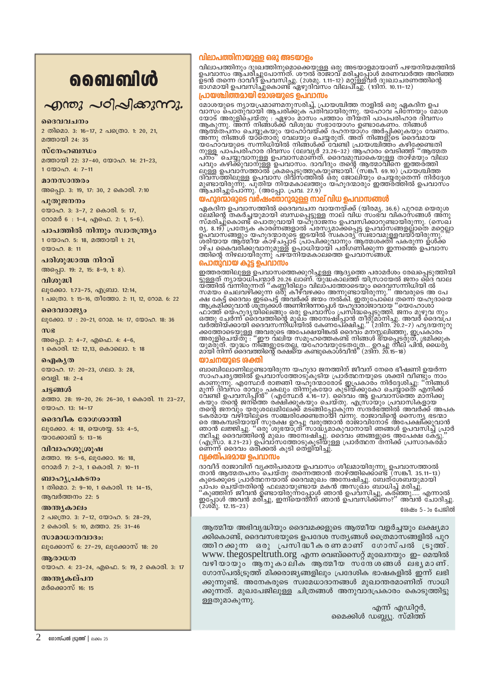# வைவிൾ

# എന്തു പഠിപ്പിക്കുന്നു.

#### മദേവവചനം

2 തിമൊ. 3: 16-17, 2 പത്രൊ. 1: 20, 21, മത്തായി 24: 35

#### $m$ c $n_2$

മത്തായി 22: 37-40, യോഹ. 14: 21-23,  $1$  GO) $200 - 4: 7-11$ 

## മാനസാന്തരം

അപ്പൊ. 3: 19, 17: 30, 2 കൊരി. 7:10

#### പൂതുജനനം

യോഹ. 3: 3-7, 2 കൊരി. 5: 17, റോമർ 6 : 1-4, എഫെ. 2: 1, 5-6).

പാപത്തിൽ നിന്നും സ്വാതന്ത്ര്യം 1 യോഹ. 5: 18, മത്തായി 1: 21,

 $2000000811$ 

#### പരിശുദ്ധാത്മ നിറവ്

അപ്പൊ. 19: 2, 15: 8-9, 1: 8).

#### വിശുദ്ധി

ലൂക്കോ. 1:73-75, എബ്രാ. 12:14, 1 പത്രൊ. 1: 15-16, തീത്തോ. 2: 11, 12, റോമ. 6: 22

#### ദൈവരാജ്യം

ലൂക്കോ. 17: 20-21, റോമ. 14: 17, യോഹ. 18: 36

#### $m$ e

അപ്പൊ. 2: 4-7, എഫെ. 4: 4-6, 1 കൊരി. 12: 12,13, കൊലൊ. 1: 18

#### ഐകൃത

യോഹ. 17: 20-23, ഗലാ. 3: 28, വെളി. 18: 2-4

#### ചട്ടങ്ങൾ

മത്താ. 28: 19-20, 26: 26-30, 1 കൊരി. 11: 23-27,  $\binom{200000}{13}$  13: 14-17

#### ദൈവീക രോഗശാന്തി

ലൂക്കോ. 4: 18, യെശയ്യ. 53: 4-5, യാക്കോബ് 5: 13-16

വിവാഹശൂത്രപ്പ മത്താ. 19: 5-6, ലൂക്കോ. 16: 18, റോമർ 7: 2-3, 1 കൊരി. 7: 10-11

ബാഹൃപ്രകടനം 1 തിമൊ. 2: 9-10, 1 കൊരി. 11: 14-15, ആവർത്തനം 22: 5

അന്ത്യകാലം 2 പക്രൊ. 3: 7-12, യോഹ. 5: 28-29, 2 കൊരി. 5: 10, മത്താ. 25: 31-46

സാമാധാനവാദം: ലൂക്കോസ് 6: 27-29, ലൂക്കോസ് 18: 20

#### അരാധന യോഹ. 4: 23-24, എഫെ. 5: 19, 2 കൊരി. 3: 17

അന്ത്യകല്പന

# മർക്കൊസ് 16: 15

#### വിലാപത്തിനായുള്ള ഒരു അടയാളം

വിലാപത്തിനും ദുഃഖത്തിനുമൊക്കെയുള്ള ഒരു അടയാളമായാണ് പഴയനിയമത്തിൽ<br>ഉപവാസം ആചരിച്ചുപോന്നത്. ശൗൽ രാജാവ് മരിച്ചപ്പോൾ മരണവാർത്ത അറിഞ്ഞ<br>ഉടൻ തന്നെ ദാവീദ് ഉപവസിച്ചു. (2ശമു. 1.11–12) മറ്റുള്ളവർ ദുഃഖാചരണത്തിന്റെ<br>ഭാഗമായി ഉപവസിച്ചുകൊണ്

# പ്രായശ്ചിത്തമായി മോശയുടെ ഉപവാസം

മോശയുടെ ന്യായപ്രമാണമനുസരിച്ച്, പ്രായശ്ചിത്ത നാളിൽ ഒരു ഏകദിന ഉപ<br>വാസം പൊതുവായി ആചരിക്കുക പതിവായിരുന്നു. യഹോവ പിന്നേയും മോശ<br>യോട് അരുളിചെയ്തു : ഏഴാം മാസം പത്താം തീയതി പാപപരിഹാര ദിവസം<br>ആകുന്നു. അന്ന് നിങ്ങൾക്ക് വിശുദ്ധ സഭായോഗം ആത്മതപനം ചെയ്യുകയും യഹോവയ്ക്ക് ദഹനയാഗം അർപ്പിക്കുകയും വേണം.<br>അന്നു നിങ്ങൾ യാതൊരു വേലയും ചെയ്യരുത്. അത് നിങ്ങളുടെ ദൈവമായ<br>യഹോവയുടെ സന്നിധിയിൽ നിങ്ങൾക്ക് വേണ്ടി പ്രായയലിത്തം കഴിക്കേണ്ടതി<br>വന്റ് ചെയ്യുവാനുള്ള ഉപവാസമാണത്. ദൈവമുമ

# യഹൂദന്മാരുടെ വർഷംതോറുമുള്ള നാല് വിധ ഉപവാസങ്ങൾ

ഏകദിന ഉപവാസത്തിൽ ദൈവവചന വായനയ്ക്ക് (യിരമ്യ, 36.6) പുറമേ യെരുശ പ്പുകാണ് ഇപ്പാസത്തോയി ബന്ധപ്പെടുള്ള നാല് വിധ സംഭവ വികാസങ്ങൾ അനു<br>സ്മരിച്ചുകൊണ്ട് പൊതുവായി യഹുദാജനം ഉപവസിക്കാറുണ്ടായിരുന്നു. (സെഖ് ്രമായച്ചുക്കൊണ്ട് ബാംഗ്യൂകയ് പരസ്സമാക്കപ്പെട്ട ഉപവാസങ്ങളുടെ മറ്റെല്ലാ<br>ഉപവാസങ്ങളും യഹൂദന്മാരുടെ ഇടയിൽ സകാര്യ സ്വഭാവമുള്ളവയായിരുന്നു.<br>ഉപവാസങ്ങളും യഹൂദന്മാരുടെ ഇടയിൽ സകാര്യ സഭാവമുള്ളവയായിരുന്നു.<br>ശരിയായ ആത്മീയ കാഴ്ചപ്പാട് പ്ര

### പൊതുവായ കൂട്ട ഉപവാസം

<mark>പൊതുവായ കൂട്ട ഉപവാസ</mark>ത്തെക്കുറിച്ചുള്ള ആദ്യത്തെ പരാമർശം രേഖപ്പെടുത്തിയി<br>ട്ടുള്ളത് ന്യായാധിപന്മാർ 20.26 ലാണ്. യുദ്ധകാലത്ത് യിസ്രായേൽ ജനം ദൈ വാല<br>സമയം ചെലവഴിക്കുന്ന ഒരു കീഴ്വഴക്കം അനുണ്ടായിരുന്നു.'' അവരുടെ അ പേ<br>സമയം ചെലവഴിക്

#### യാചനയാടെ ശക്തി

ബാബിലോണിലുണ്ടായിരുന്ന യഹൂദാ ജനത്തിന് ജീവന് നേരെ ഭീഷണി ഉയർന്ന ബാബലോണിലൂണ്ടായിരുന്ന യ്ഹൂദാ ജനരത്ത് ജീവന നേരെ ഭീഷണ ഇയരുന്ന കാണുകാണിലൂണ്ടായിരുന്ന യ്ഹൂദാ ജനരത്തി ഉപരാസത്തോടുകളിയ<br>കാണുന്നു. എമ്പേര് ഉപവാസത്തോടുകൂടിയ പ്രാർത്ഥനയുടെ ശക്തി വീണ്ടും നാം<br>മുന്ന് ദിവസം രാവും പകലും തിന്നുകയോ കുടിയ്ക ടകരമായ വഴിയിലൂടെ സംബരിക്കേണ്ടതായി വന്നു. രാജാവിനോട് അപേക്ഷിക്കുവാൻ<br>തൊൻ ലജ്ജിച്ചു. "ഒരു ശുഭയാത്ര സാദ്ധ്യതാൻ രാജാവിനോട് അപേക്ഷിക്കുവാൻ<br>ഞാൻ ലജ്ജിച്ചു. "ഒരു ശുഭയാത്ര സാദ്ധ്യമാകുവാനായി ഞങ്ങൾ ഉപവസിച്ച് പ്രാർ<br>ത്ഥിച്ചു ദൈവത്തിന്റ

#### വ്യക്തിപരമായ പെവാസ്യ

ാവീദ് രാജാവിന് വ്യക്തിപരമായ ഉപവാസം ശീലമായിരുന്നു. ഉപവാസത്താൽ<br>താൻ ആത്മതപനം ചെയ്തു തന്നെത്താൻ താഴ്ത്തിക്കൊണ്ട് (സങ്കീ. 35.11–13)<br>കൂടെക്കൂടെ പ്രാർത്ഥസയാൽ ദൈവമുഖം അന്വേഷിച്ചു. ബേത്ശേബയുമായി<br>പാപം ചെയ്തതിൻ ഫലമായുണ്ടായ മകൻ അസുഖം ശേഷം 5-ാം പേജിൽ

ആത്മീയ അഭിവൃദ്ധിയും ദൈവമക്കളുടെ ആത്മീയ വളർച്ചയും ലക്ഷ്യമാ ക്കികൊണ്ട്, ദൈവസഭയുടെ ഉപദേശ സതൃങ്ങൾ ത്രൈമാസങ്ങളിൽ പുറ തതിറക്കുന്ന ഒരു പ്രസിദ്ധീകരണമാണ് ഗോസ്പൽ ട്രുതത്. www. thegospeltruth.org എന്ന വെബ്സൈറ്റ് മുഖേനയും ഇ- മെയിൽ വഴിയായും ആനുകാലിക ആത്മീയ സദ്നദശങ്ങൾ ലഭൃമാണ്. ഗോസ്പൽട്രുത്ത് മിക്കരാജ്യങ്ങളിലും പ്രദേശിക ഭാഷകളിൽ ഇന്ന് ലഭി ക്കുന്നുണ്ട്. അനേകരുടെ സ്വമേധാദാനങ്ങൾ മുഖാന്തരമാണിത് സാധി ക്കുന്നത്. മുഖപേജിലുള്ള ചിത്രങ്ങൾ അനുവാദപ്രകാരം കൊടുത്തിട്ടു ള്ളതുമാകുന്നു.

എന്ന് എഡിറ്റർ, മൈക്കിൾ ഡബ്ല്യൂ. സ്മിത്ത്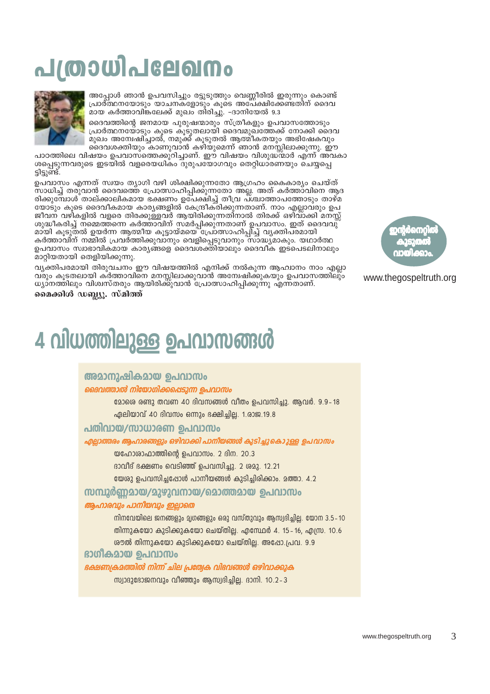# <u>പത്രാധിപലേഖനം</u>



അപ്പോൾ ഞാൻ ഉപവസിച്ചും രട്ടുടുത്തും വെണ്ണീരിൽ ഇരുന്നും കൊണ്ട് പ്രാർ്ത്ഥനയോടും യാചനക്ളോടും കൂടെ അപേക്ഷിക്കേണ്ടതിന് ദൈവ ്മായ കർത്താവിങ്കലേക്ക് മുഖം തിരിച്ചു്. -ദാനിയേൽ 9.3

ദൈവത്തിന്റെ ജനമായ പൂരുഷന്മാരും സ്ത്രീകളും ഉപവാസത്തോടും പ്രാർത്ഥനയോടും കൂടെ കൂടുതലായി ദൈവമുഖ്ത്തേക്ക് നോക്കി ദൈവ ം<br>മുഖം അന്വേഷിച്ചാൽ, നമുക്ക് കൂടുതൽ ആത്മീകതയും അഭിഷേകവും<br>ദൈവശക്തിയും കാണുവാൻ കഴിയുമെന്ന് ഞാൻ മനസ്സിലാക്കുന്നു. ഈ

പാഠത്തിലെ വിഷയം ഉപവാസ്തെെക്കുറിച്ചാണ്. ഈ വിഷയം വിശുദ്ധ്ന്മാർ എ്ന്ന് അവകാ ശപ്പെടുന്നവരുടെ ഇടയിൽ വളരെയധികം ദുരുപയോഗവും തെറ്റിധാരണയും ചെയ്യപ്പെ<br>ട്ടിട്ടുണ്ട്.

ഉപവാസം എന്നത് സ്വയം ത്യാഗി വഴി ശിക്ഷിക്കുന്നതോ ആഗ്രഹം കൈകാര്യം ചെയ്ത് സാധിച്ച് തരുവാൻ ദൈവത്തെ പ്രോത്സാഹിപ്പിക്കുന്നതോ അല്ല. അത് കർത്താവിനെ ആദ രിക്കുമ്പോൾ താല്ക്കാലികമായ ഭക്ഷണം ഉപേക്ഷിച്ച് തീവ്ര പ്ശ്ചാത്താപത്തോടും താഴ്മ<br>യോടും കൂടെ ദൈവീകമായ കാര്യങ്ങളിൽ കേന്ദ്രീകരിക്കുന്നതാണ്. നാം എല്ലാവരും ഉപ ജീവന വഴികളിൽ വളരെ തിരക്കുള്ളവർ ആയിരിക്കുന്നതിനാൽ തിരക്ക് ഒഴിവാക്കി മനസ്സ് ശുദ്ധീകരിച്ച് നമ്മെത്തന്നെ കർത്താവിന് സമർപ്പിക്കുന്നതാണ് ഉപവാസം. ഇത് ദൈവവു് മായി കൂടുതൽ ഉയർന്ന ആത്മീയ കൂട്ടായ്മയെ പ്രോത്സാഹിപ്പിച്ച് വൃക്തിപരമായി കർത്താവിന് നമ്മിൽ പ്രവർത്തിക്കുവാനും വെളിപ്പെടുവാനും സാദ്ധ്യമാകും. യഥാർത്ഥ ഉപവാസം സ്വാഭാവികമായ കാര്യങ്ങളെ ദൈവശക്തിയാലും ദൈവീക ഇട്പെടലിനാലും മാറ്റിയതായി തെളിയിക്കുന്നു.

വ്യക്തിപരമായി തിരുവചനം ഈ വിഷയത്തിൽ എനിക്ക് നൽകുന്ന ആഹ്വാനം നാം എല്ലാ വരും കൂടതലായി കരത്താവിനെ മനസ്സിലാക്കുവാൻ അന്വേഷിക്കുകയും ഉപവാസത്തിലും ധ്യാനത്തിലും വിശ്വസ്തരും ആയിരിക്കുവാൻ പ്രോത്സാഹിപ്പിക്കുന്നു എന്നതാണ്.

മൈക്കിൾ ഡബ്ല്യൂ. സ്മിത്ത്

# 4 വിധത്തിലുള്ള ഉപവാസങ്ങൾ

# അമാനുഷികമായ ഉപവാസം

# ദൈവത്താൽ നിയോഗിക്കപ്പെടുന്ന ഉപവാസം

2ോശെ രണ്ടു തവണ 40 ദിവസങ്ങൾ വീതം ഉപവസിച്ചു. ആവർ. 9.9–18 ഏലിയാവ് 40 ദിവസം ഒന്നും ഭക്ഷിച്ചില്ല. 1.രാജ.19.8

# പതിവായ/സാധാരണ ഉപവാസം

എല്ലാത്തരം ആഹാരങ്ങളും ഒഴിവാക്കി പാനീയങ്ങൾ കുടിച്ചുകൊുള്ള ഉപവാസം

യഹോശാഫാത്തിന്റെ ഉപവാസം. 2 ദിന. 20.3

ദാവീദ് ഭക്ഷണം വെടിഞ്ഞ് ഉപവസിച്ചു. 2 ശമു. 12.21

യേശു ഉപവസിച്ചപ്പോൾ പാനീയങ്ങൾ കുടിച്ചിരിക്കാം. മത്താ. 4.2

സമ്പൂർണമായ/മുഴുവനായ/മൊത്തമായ ഉപവാസം

# ആഹാരവും പാനിയവും ഇല്ലാതെ

നിനവേയിലെ ജനങ്ങളും മൃഗങ്ങളും ഒരു വസ്തുവും ആസ്വദിച്ചില്ല. യോന 3.5-10 തിന്നുകയോ കുടിക്കുകയോ ചെയ്തില്ല. എമ്പേർ 4, 15–16, എന്ധ്ര. 10.6 ശൗൽ തിന്നുകയോ കുടിക്കുകയോ ചെയ്തില്ല. അപ്പോ.പ്രവ. 9.9

# ഭാഗീകമായ ഉപവാസം

# ഭക്ഷണക്രമത്തിൽ നിന്ന് ചില പ്രത്വേക വിഭവങ്ങൾ ഒഴിവാക്കുക

സ്വാദുദോജനവും വീഞ്ഞും ആസ്വദിച്ചില്ല. ദാനി. 10.2-3



# www.thegospeltruth.org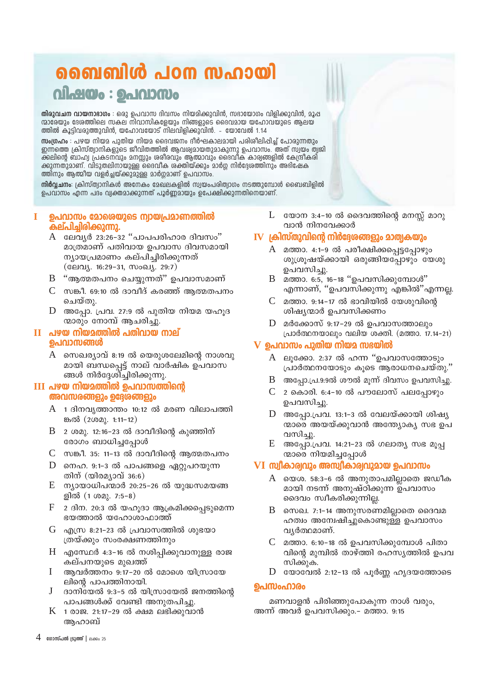# ബൈബിൾ പഠന സഹായി വിഷയം : ഉപവാസം

<mark>തിരുവചന വായനാഭാഗം</mark> : ഒരു പെവാസ ദിവസം നിയമിക്കുവിൻ, സഭായോഗം വിളിക്കുവിൻ, മൂഷ ന്മാരേയും ദേശത്തിലെ സകല നിവാസികളേയും നിങ്ങളുടെ ദൈവമായ യഹോവയുടെ ആലയ ത്തിൽ കൂട്ടിവരുത്തുവിൻ, യഹോവയോട് നിലവിളിക്കുവിൻ. - യോവേൽ 1.14

**സ്രംഗ്രഹം** : പഴയ നിയമ പുതിയ നിയമ ദൈവജനം ദീർഘകാലമായി പരിശീലിപ്പിച്ച് പോരുന്നതും ഇന്നത്തെ ക്രിസ്ത്വാനികളുടെ ജീവിതത്തിൽ ആവശ്വമായതുമാകുന്നു ഉപവാസം. അത് സ്വയം ത്വജി ്രണ്ടാരും അപ്പോഴ്ച്ച് കാര്യമായ കാര്യമായ കാര്യമാക്കുന്നു.<br>ക്കലിന്റെ ബാഹ്വ പ്രകടനവും മനസ്സും ശരീരവും ആത്മാവും ദൈവീക കാര്യങ്ങളിൽ കേന്ദ്രീകരി<br>ക്കുന്നതുമാണ്. വിടുതലിനായുള്ള ദൈവീക ശക്തിയ്ക്കും മാർഗ്ഗ നിർദ്ദേശത്തിനും അഭിഷേക ത്തിനും ആത്മീയ വളർച്ചയ്ക്കുമുള്ള മാർഗ്ഗമാണ് ഉപവാസം.

നിർവ്വചനം: ക്രിസ്ത്വാനികൾ അനേകം മേഖലകളിൽ സ്വയംപരിത്വാഗം നടത്തുമ്പോൾ ബൈബിളിൽ ഉപവാസം എന്ന പദം വ്യക്തമാക്കുന്നത് പൂർണ്ണമായും ഉപേക്ഷിക്കുന്നതിനെയാണ്.

#### ഉപവാസം മോരെയുടെ ന്വായപ്രമാണത്തിൽ Т കല്പിച്ചിരിക്കുന്നു.

- A ലേവൃർ 23:26-32 "പാപപരിഹാര ദിവസം" മാത്രമാണ് പതിവായ ഉപവാസ ദിവസമായി ന്യായപ്രമാണം കല്പിച്ചിരിക്കുന്നത് (ലേവ്യ. 16:29-31, സംഖ്യ. 29:7)
- B "ആത്മതപനം ചെയ്യുന്നത്" ഉപവാസമാണ്
- $\rm C$  സങ്കീ. 69:10 ൽ ദാവീദ് കരഞ്ഞ് ആത്മതപനം ചെയ്തു.
- $D$  അപ്പോ. പ്രവ. 27:9 ൽ പുതിയ നിയമ യഹൂദ ന്മാരും നോമ്പ് ആചരിച്ചു.

# $\mathbf{H}$  പഴയ നിയമത്തിൽ പതിവായ നാല് ഉപവാസങ്ങൾ

 $A$  സെഖര്യാവ് 8:19 ൽ യെരുശലേമിന്റെ നാശവു മായി ബന്ധപ്പെട്ട് നാല് വാർഷിക ഉപവാസ ങ്ങൾ നിർദേശിച്ചിരിക്കുന്നു.

# III പഴയ നിയമത്തിൽ ഉപവാസത്തിന്റെ അവസരങ്ങളും ഉദ്ദേശങ്ങളും

- $A$  1 ദിനവൃത്താന്തം 10:12 ൽ മരണ വിലാപത്തി ങ്കൽ (2002). 1:11-12)
- $B$  2 ശമു. 12:16-23 ൽ ദാവീദിന്റെ കുഞ്ഞിന് രോഗം ബാധിച്ചപ്പോൾ
- $\rm C$  സങ്കീ. 35: 11–13 ൽ ദാവീദിന്റെ ആത്മതപനം
- $D$  നെഹ. 9:1-3 ൽ പാപങ്ങളെ ഏറ്റുപറയുന്ന തിന് (യിരമ്യാവ്  $36:6$ )
- $E$  ന്യായാധിപന്മാർ 20:25-26 ൽ യുദ്ധസമയങ്ങ ളിൽ (1 ശമു. 7:5-8)
- F 2 ദിന. 20:3 ൽ യഹൂദാ ആക്രമിക്കപ്പെടുമെന്ന ഭയത്താൽ യഹോശാഫാത്ത്
- $G$  എസ്ര 8:21–23 ൽ പ്രവാസത്തിൽ ശുഭയാ ത്രയ്ക്കും സംരക്ഷണത്തിനും
- $H$  എസ്ഥേർ 4:3-16 ൽ നശിപ്പിക്കുവാനുള്ള രാജ കല്പനയുടെ മുഖത്ത്
- $\mathbf I$ ആവർത്തനം 9:17-20 ൽ മോഗെ യിസ്രായേ ലിന്റെ പാപത്തിനായി.
- $J$ ദാനിയേൽ 9:3-5 ൽ യിസ്രായേൽ ജനത്തിന്റെ പാപങ്ങൾക്ക് വേണ്ടി അനുതപിച്ചു.
- $K$  1 രാജ. 21:17-29 ൽ ക്ഷമ ലഭിക്കുവാൻ അഹാബ്

L യോന $3:4-10$  ൽ ദൈവത്തിന്റെ മനസ്സ് മാറു വാൻ നിനവേക്കാർ

# $\mathbf{IV}$  ക്രിസ്തുവിന്റെ നിർദ്ദേശങ്ങളും മാത്വകയും

- A മത്താ. 4:1-9 ൽ പരീക്ഷിക്കപ്പെട്ടപോഴും ശുശ്രൂഷയ്ക്കായി ഒരുങ്ങിയപ്പോഴും യേശു ഉപവസിച്ചു.
- $\mathbf{R}$ മത്താ. 6:5, 16-18 "ഉപവസിക്കുമ്പോൾ" എന്നാണ്, ''ഉപവസിക്കുന്നു എങ്കിൽ''എന്നല്ല.
- മത്താ. 9:14-17 ൽ ഭാവിയിൽ യേശുവിന്റെ  $\mathbf{C}$ ശിഷ്യന്മാർ ഉപവസിക്കണം
- D മർക്കോസ് 9:17-29 ൽ ഉപവാസത്താലും പ്രാർത്ഥനയാലും വലിയ ശക്തി. (മത്താ. 17.14-21)

# $\bf{V}$  ഉപവാസം പുതിയ നിയമ സഭയിൽ

- A ലൂക്കോ. 2:37 ൽ ഹന്ന ''ഉപവാസത്തോടും പ്രാർത്ഥനയോടും കൂടെ ആരാധനചെയ്തു.''
- $\mathbf{B}$ അപ്പോ.പ്ര.9:9ൽ ശൗൽ മൂന്ന് ദിവസം ഉപവസിച്ചു.
- $\mathcal{C}$ 2 കൊരി. 6:4-10 ൽ പൗലോസ് പലപ്പോഴും ഉപവസിച്ചു.
- അപ്പോ.പ്രവ. 13:1-3 ൽ വേലയ്ക്കായി ശിഷ്യ D ന്മാരെ അയയ്ക്കുവാൻ അന്ത്യോക്യ സഭ ഉപ വസിച്ചു.
- $E_{\parallel}$ അപ്പോ.പ്രവ. 14:21-23 ൽ ഗലാത്യ സഭ മൂപ്പ ന്മാരെ നിയമിച്ചപ്പോൾ

# VI സ്വീകാര്വവും അസ്വീകാര്വവുമായ ഉപവാസം

- A യെശ. 58:3-6 ൽ അനുതാപമില്ലാതെ ജഡീക മായി നടന്ന് അനുഷ്ഠിക്കുന്ന ഉപവാസം ദൈവം സ്വീകരിക്കുന്നില്ല.
- B. സെഖ. 7:1-14 അനുസരണമില്ലാതെ ദൈവമ ഹത്വം അന്വേഷിച്ചുകൊണ്ടുള്ള ഉപവാസം വൃർത്ഥമാണ്.
- $C$  മത്താ. 6:10-18 ൽ ഉപവസിക്കുമ്പോൾ പിതാ വിന്റെ മുമ്പിൽ താഴ്ത്തി രഹസ്യത്തിൽ ഉപവ സിക്കുക.
- D യോവേൽ 2:12-13 ൽ പൂർണ്ണ ഹൃദയത്തോടെ

# **ഉപസംഹാരം**

മണവാളൻ പിരിഞ്ഞുപോകുന്ന നാൾ വരും, അന്ന് അവർ ഉപവസിക്കും.– മത്താ. 9:15

 $4$  ഗോസ്പൽ ട്രൂത്ത് | ലക്കം 25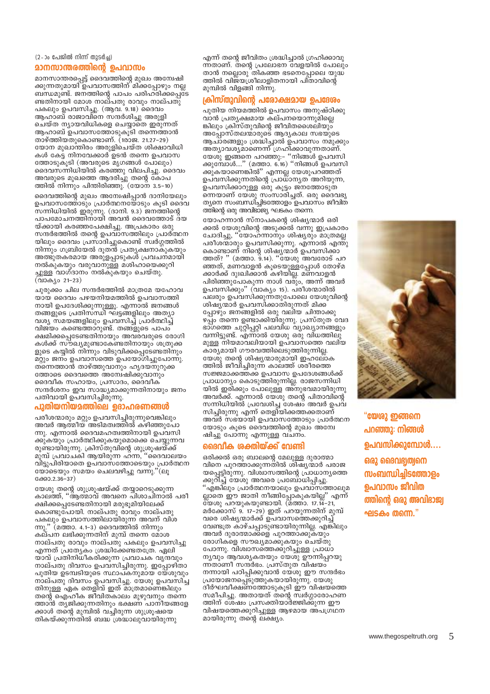(2-ാം പേജിൽ നിന്ന് തുടർച്ച)

## **മാനസാന്തരത്തിന്റെ ഉപവാസം**

മാനസാന്തരപ്പെട്ട് ദൈവത്തിന്റെ മുഖം അന്വേഷി<br>ക്കുന്നതുമായി ഉപവാസത്തിന് മിക്കപ്പോഴും നല്ല ബന്ധമുണ്ട്. ജനത്തിന്റെ പാപം പരിഹ്രിക്കപ്പെട്ട ണ്ടതിനായി മോശ നാല്പതു രാവും നാല്പതു് പകലും ഉപവസിച്ചു. (ആവ. 9.18) ദൈവം ആഹാബ് രാജാവിനെ സന്ദർശിച്ചു അരുളി ചെയ്ത ന്യായവിധികളെ ചെയ്യാതെ ഇരുന്നത് ആഹാബ് ഉപവാസത്തോടുകൂടി തന്നെത്താൻ താഴ്ത്തിയതുകൊണ്ടാണ്. (1രാജ. 21.27–29) യോന മുഖാന്തിരം അരുളിചെയ്ത ശിക്ഷാവിധി കൾ കേട്ട നിനവേക്കാർ ഉടൻ തന്നെ ഉപവാസ ത്തോടുകൂടി (അവരുടെ മൃഗങ്ങൾ പോലും) ദൈവസന്നിധിയിൽ കരഞ്ഞു വിലപിച്ചു. ദൈവം അവരുടെ മുഖത്തെ ആദരിച്ചു തന്റെ കോപ ത്തിൽ നിന്നും പിന്തിരിഞ്ഞു. (യോന 3.5–10)

ദൈവത്തിന്റെ മുഖം അമ്പേഷിപ്പാൻ ദാനിയേലും ഉപവാസത്തോടും പ്രാർത്ഥനയോടും കൂടി ദൈവ സന്നിധിയിൽ ഇരുന്നു. (ദാനി. 9.3) ജനത്തിന്റെ പാപമോചനത്തിനായി അവൻ ദൈവത്തോട് ദയ യ്ക്കായി കരഞ്ഞപേക്ഷിച്ചു. അപ്രകാരം ഒരു സന്ദർഭത്തിൽ തന്റെ ഉപവാസത്തിലും പ്രാർത്ഥന യിലും ദൈവം പ്രസാദിച്ചുകൊണ്ട് സ്വർഗ്ഗത്തിൽ നിന്നും ഗബ്രിയേൽ ദുതൻ പ്രത്യക്ഷനാകുകയും അത്ഭുതകരമായ അരുളപ്പാടുകൾ പ്രവചനമായി നൽകുകയും വരുവാനുള്ള മശിഹായെക്കുറി ച്ചുള്ള വാഗ്ദാനം നൽകുകയും ചെയ്തു.<br>(വാക്യം 21–23)

ചുരുക്കം ചില സന്ദർഭത്തിൽ മാത്രമേ യഹോവ യായ ദൈവം പഴയനിയമത്തിൽ ഉപവാസത്തി നായി ഉപദേശിക്കുന്നുള്ളൂ. എന്നാൽ ജനങ്ങൾ തങ്ങളുടെ പ്രതിസന്ധി ഘട്ടങ്ങളിലും അത്യാ വശ്യ സമയങ്ങളിലും ഉപവസിച്ച് പ്രാർത്ഥിച്ച് വിജ്യം കണ്ടെത്താറുണ്ട്. തങ്ങളുടെ പാപം ക്ഷമിക്കപ്പെടേണ്ടതിനായും അവരവരുടെ രോഗി കൾക്ക് സ്രഖ്യമുണ്ടാകേണ്ടതിനായും ശത്രുക്ക ളുടെ കയ്യിൽ നിന്നും വിടുവിക്കപ്പെടേണ്ടതിനും മറ്റും ജനം ഉപവാസത്തെ ഉപയോഗിച്ചുപോന്നു. ത്നെത്താൻ താഴ്ത്തുവാനും ഹൃദയനുറുക്ക ത്തോടെ ദൈവത്തെ അന്വേഷിക്കുവാനും ദൈവീക സഹായം, പ്രസാദം, ദൈവീക സന്ദർശനം ഇവ സാദ്ധ്യമാക്കുന്നതിനായും ജനം പതിവായി ഉപവസിച്ചിരുന്നു.

#### പുതിയനിയമത്തിലെ ഉദാഹരണങ്ങൾ

പരീശന്മാരും മറ്റും ഉപവസിച്ചിരുന്നുവെങ്കിലും അവർ ആത്മീയ് അടിമത്വത്തിൽ കഴിഞ്ഞുപോ ന്നു. എന്നാൽ ദൈവമഹത്വത്തിനായി ഉപവസി ക്കുകയും പ്രാർത്ഥിക്കുകയുമൊക്കെ ചെയ്യുന്നവ രുണ്ടായിരുന്നു. ക്രിസ്തുവിന്റെ ശുശ്രൂഷയ്ക്ക് മുമ്പ് പ്രവാചകി ആയിരുന്ന ഹന്ന, "ദൈവാലയം വിട്ടുപിരിയാതെ ഉപവാസത്തോടെയും പ്രാർത്ഥന യോടെയും സമയം ചെലവഴിച്ചു വന്നു."(ലൂ ക്കോ.2.36-37)

യേശു തന്റെ ശുശ്രൂഷയ്ക്ക് തയ്യാറെടുക്കുന്ന കാലത്ത്, ''ആത്മാവ് അവനെ പിശാചിനാൽ പരീ ക്ഷിക്കപ്പെടേണ്ടതിനായി മരുഭുമിയിലേക്ക് കൊണ്ടുപോയി. നാല്പതു രാവും നാല്പതു പകലും ഉപവാസത്തിലായിരുന്ന അവന് വിശ  $mp<sub>2</sub>$ . ' (മത്താ. 4.1–3) ദൈവത്തിൽ നിന്നും കല്പന ലഭിക്കുന്നതിന് മുമ്പ് തന്നെ മോശ നാല്പതു രാവും നാല്പതു പകലും ഉപവസിച്ചു എന്നത് പ്രത്യേകം ശ്രദ്ധിക്കേണ്ടതത്രേ. ഏലി യാവ് പ്രതിനിധീകരിക്കുന്ന പ്രവാചക വൃന്ദവും നാല്പതു ദിവസം ഉപവസിച്ചിരുന്നു. ഇപ്പോഴിതാ പുതിയ ഉടമ്പടിയുടെ സ്ഥാപ്കനുമായ യേശുവും നാല്പതു ദിവസം ഉപവസിച്ചു. യേശു ഉപവസിച്ച തിനുള്ള ഏക തെളിവ് ഇത് മാത്രമാണെങ്കിലും തന്റെ ഐഹീക ജീവിതകാലം മുഴുവനും തന്നെ ത്താൻ തുജിക്കുന്നതിനും ഭക്ഷണ പാനീയങ്ങളേ ക്കാൾ തന്റെ മുമ്പിൽ വച്ചിരുന്ന ശുശ്രൂഷയെ തികയ്ക്കുന്നതിൽ ബദ്ധ ശ്രദ്ധാലുവായിരുന്നു

എന്ന് തന്റെ ജീവിതം ശ്രദ്ധിച്ചാൽ ഗ്രഹിക്കാവു ന്നതാണ്. തന്റെ പ്രലോഭന വേളയിൽ പോലും താൻ നല്ലൊരു തികഞ്ഞ ഭടനെപ്പോലെ യുദ്ധ ത്തിൽ വിജയശ്രീലാളിതനായി പിതാവിന്റെ മുമ്പിൽ വിളങ്ങി നിന്നു.

### ക്രിസ്തുവിന്റെ പരോക്ഷമായ ഉപദേശം

പുതിയ നിയമത്തിൽ ഉപവാസം അനുഷ്ഠിക്കു വാൻ പ്രത്യക്ഷമായ കല്പനയൊന്നുമില്ലെ ങ്കിലും ക്രിസ്തുവിന്റെ ജീവിതശൈലിയും അച്ചോസ്തലന്മാരുടെ ആദൃകാല സഭയുടെ ആച്ാരങ്ങളും ശ്രദ്ധിച്ചാൽ ഉപവാസം നമുക്കും അത്യാവശ്യമാണെന്ന് ഗ്രഹിക്കാവുന്നതാണ്. .<br>യേശു ഇങ്ങനെ പറഞ്ഞു:- ''നിങ്ങൾ ഉപവസി<br>കുമ്പോൾ....'' (മത്താ. 6.16) ''നിങ്ങൾ ഉപവസി ക്കുകയാണെങ്കിൽ'' എന്നല്ല യേശുപറഞ്ഞത് ഉപവസിക്കുന്നതിന്റെ പ്രാധാനൃത അറിയുന്ന, ഉപവസിക്കാറുള്ള ഒരു കൂട്ടം ജനത്തോടുത ന്നെയാണ് യേശു സംസാരിച്ചത്. ഒരു ദൈവഭൃ തൃനെ സംബന്ധിച്ചിടത്തോളം ഉപവാസം ജീവിത ത്തിന്റെ ഒരു അവിടാജ്യ ഘടകം തന്നെ.

യോഹന്നാൻ സ്നാപകന്റെ ശിഷ്യന്മാർ ഒരി ക്കൽ യേശുവിന്റെ അടുക്ക്ൽ വന്നു ഇപ്രകാരം ചോദിച്ചു, ''യോഹന്നാനും ശിഷ്യരും മാത്രമല്ല പരീശന്മാരും ഉപവസിക്കുന്നു. എന്നാൽ എന്തു കൊണ്ടാണ് നിന്റെ ശിഷ്യന്മാർ ഉപവസിക്കാ<br>ത്തത്? '' (മത്താ. 9.14). ''യേശു അവരോട് പറ ത്തത്? ' ഞ്ഞത്, മണവാളൻ കുടെയുള്ളപ്പോൾ തോഴ്മ ക്കാർക്ക് ദുഃഖിക്കാൻ കഴിയില്ല. മണവാളൻ പിരിഞ്ഞുപോകുന്ന നാൾ വരും, അന്ന് അവർ ഉപവസിക്കും" (വാക്യം 15). പരീശന്മാരിൽ പലരും ഉപവസിക്കുന്നതുപോലെ യേശുവിന്റെ ശിഷുന്മാർ ഉപവസിക്കാതിരുന്നത് മിക്ക പ്പോഴും ജനങ്ങളിൽ ഒരു വലിയ ചിന്താക്കു ഴപ്പം തന്നെ ഉണ്ടാക്കിയിരുന്നു. പ്രസ്തുത വേദ ഭാ്ഗത്തെ ചുറ്റിപ്പറ്റി പലവിധ വ്യാഖ്യാനങ്ങളും വന്നിട്ടുണ്ട്. എന്നാൽ യേശു ഒരു വിധത്തിലു മുള്ള നിയമാവലിയായി ഉപവാസത്തെ വലിയ കാര്യമായി ഗൗരവത്തിലെടുത്തിരുന്നില്ല. യേശു തന്റെ ശിഷ്യന്മാരുമായി ഇഹലോക ത്തിൽ ജീവിച്ചിരുന്ന കാലത്ത് ശരീരത്തെ സജ്ജമാക്കത്തക്ക് ഉപവാസ ഉപദേശങ്ങൾക്ക് പ്രാധാന്യം കൊടുത്തിരുന്നില്ല. രാജസന്നിധി യിൽ ഇരിക്കും പോലുള്ള അനുഭവമായിരുന്നു അവർക്ക്. എന്നാൽ യേശു തന്റെ പിതാവിന്റെ സന്നിധിയിൽ പ്രവേശിച്ച ശേഷം അവർ ഉപവ സിചിരുന്നു എന്ന് തെളിയിക്കത്തക്കതാണ് അവർ സഭയായി ഉപവാസത്തോടും പ്രാർത്ഥന യോടും കൂടെ ദൈവത്തിന്റെ മുഖം അന്വേ ഷിച്ചു പോന്നു എന്നുള്ള വചനം.

## ദൈവിക ശക്തിയ്ക്ക് വേണ്ടി

ഒരിക്കൽ ഒരു ബാലന്റെ മേലുള്ള ദുരാത്മാ വിനെ പുറത്താക്കുന്നതിൽ ശിഷ്യന്മാർ പരാജ യപ്പെട്ടിരുന്നു. വിശ്ഥസത്തിന്റെ പ്രാധാന്യത്തെ ക്കുറിച്ച് യേശു അവരെ പ്രബോധിപ്പിച്ചു.<br>'' 'എങ്കിലും പ്രാർത്ഥനയാലും ഉപവാസത്താലുമ ല്ലാതെ ഈ ജാതി നീങ്ങിപ്പോകുകയില്ല" എന്ന് യേശു പറയുകയുണ്ടായി. (മത്താ. 17.14-21, മർക്കോസ് 9. 17–29) ഇത് പറയുന്നതിന് മുമ്പ് വരെ ശിഷ്യന്മാർക്ക് ഉപവാസത്തെക്കുറിച് വേണ്ടത്ര കാഴ്ചപ്പാടുണ്ടായിരുന്നില്ല. എങ്കിലും അവർ ദുരാത്മാക്കളെ പുറത്താക്കുകയും രോഗികളെ സൗഖ്യമാക്കുകയും ചെയ്തു പോന്നു. വിശ്വാസത്തെക്കുറിച്ചുള്ള പ്രാധാ നൃവും ആവശൃകതയും ഭ്യതു് ഊന്നിപ്പറയു ന്ന്താണീ സന്ദർഭം. പ്രസ്തുത് വിഷയം നന്നായി പഠിപ്പിക്കുവാൻ യേശു ഈ സന്ദർഭം പ്രയോജനപ്പെടുത്തുകയായിരുന്നു. യേശു ദീർഘവീക്ഷണത്തോടുകൂടി ഈ വിഷയത്തെ സമീപിച്ചു. അതായത് തന്റെ സ്വർഗ്ഗാരോഹണ ത്തിന് ശേഷം പ്രസക്തിയാർജ്ജിക്കുന്ന ഈ വിഷയത്തെക്കുറിച്ചുള്ള ആഴമായ അപഗ്രഥന മായിരുന്നു തന്റെ ലക്ഷ്യം.



"യേശു ഇങ്ങനെ പറഞ്ഞു: നിങ്ങൾ ഉപവസിക്കുമ്പോൾ.... ഒരു ദൈവഭ്വത്വനെ സംബന്ധിച്ചിടത്തോളം ഉപവാസം ജീവിത ത്തിന്റെ ഒരു അവിഭാജ്വ ഘടകം തന്നെ."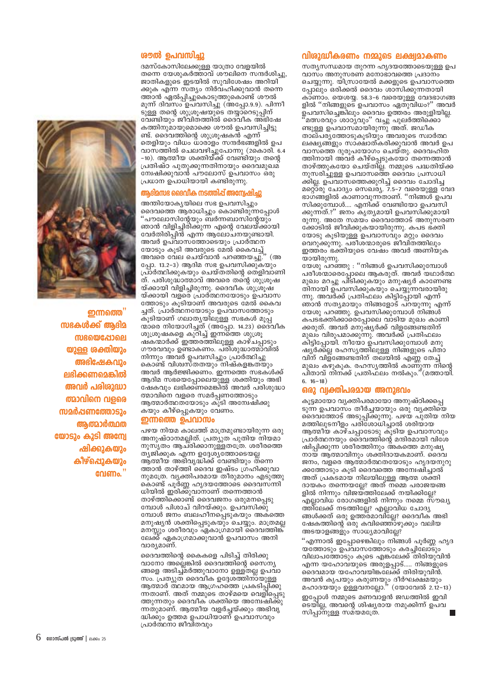## രൗൽ ഉപവസിച്ചു

ദമസ്കോസിലേക്കുള്ള യാത്രാ വേളയിൽ തന്നെ യേശുകർത്താവ് ശൗലിനെ സന്ദർശിച്ചു, ജാതികളുടെ ഇടയിൽ സുവിശേഷം അറിയി ക്കുക എന്ന സത്യം നിർവഹിക്കുവാൻ തന്നെ ത്താൻ ഏൽപ്പിച്ചുകൊടുത്തുകൊണ്ട് ശൗൽ മൂന്ന് ദിവ്സം ഉപ്വസിച്ചു (അപ്പോ.9.9). പിന്നീ ടുള്ള തന്റെ ശുശ്രൂഷയുടെ തയ്യാറെടുപ്പിന് വേണ്ടിയും ജീവിതത്തിൽ ദൈവീക അഭിഷേ കത്തിനുമായുമൊക്കെ ശൗൽ ഉപവസിച്ചിട്ടു ണ്ട്. ദൈവത്തിന്റെ ശുശ്രൂഷകൻ എന്ന് തെളിയും വിധം ധാരാളം സന്ദർഭങ്ങളിൽ ഉപ വാസത്തിൽ ചെലവഴിച്ചുപോന്നു (2കൊരി. 6.4 –10). ആത്മീയ ശക്തിയ്ക്ക് വേണ്ടിയും തന്റെ പ്രതിഷ്ഠ പുതുക്കുന്നതിനായും ദൈവമുഖമ് ന്വേഷിക്കുവാൻ പൗലോസ് ഉപവാസം ഒരു പ്രധാന ഉപാധിയായി കണ്ടിരുന്നു.

### ആദിമസഭ ദൈവിക നടത്തിപ്പ് അന്വേഷിച്ചു

അന്തിയോകൃയിലെ സഭ ഉപവസിച്ചും ദൈവത്തെ ആരാധിച്ചും കൊണ്ടിതുന്നപ്പോൾ 'പൗലോസിന്റേയും ബർന്നബാസിന്റേയും ഞാൻ വിളിച്ചിരിക്കുന്ന എന്റെ വേലയ്ക്കായി വേർതിരിപ്പിൻ എന്ന ആലോചനയുണ്ടായി. അവർ ഉപവാസത്തോടെയും പ്രാർത്ഥന അവർ ഉപവാസം അത്തായും പ<br>യോടും കൂടി അവരുടെ മേൽ കൈവച്ച്<br>പ്രാത്തില് പ്രക്ഷി പ്രഞ്ഞനുച്ചു.'' (അ അവരെ വേല ചെയ്വാൻ പറഞ്ഞയച്ചു. പ്പോ. 13.2-3) ആദിമ സഭ ഉപവസിക്കുകയും പ്രാർത്ഥിക്കുകയും ചെയ്തതിന്റെ തെളിവാണി ത്. പരിശുദ്ധാത്മാവ് അവരെ തന്റെ ശുശ്രൂഷ യ്ക്കായി വിളിച്ചിരുന്നു. ദൈവീക ശുശ്രൂഷ യ്ക്കായി വളരെ പ്രാര്ത്ഥനയോടും ഉപവാസ ത്തോടും കൂടിയാണ് അവരുടെ മേൽ കൈവ ച്ചത്. പ്രാർത്ഥനയോടും ഉപവാസത്തോടും കൂടിയാണ് ഗലാതൃയിലുള്ള സഭകൾ മൂപ്പ് ഷകന്മാർക്ക് ഇത്തരത്തിലുള്ള കാഴ്ചപ്പാടും ഗൗരവവും ഉണ്ടാകണം. പരിശുദ്ധാത്മാവിൽ നിന്നും അവർ ഉപവസിച്ചും പ്രാർത്ഥിച്ചു കൊണ്ട് വിശ്വസ്തതയും നിഷ്കളങ്കതയും അവർ ആർജ്ജിക്കണം. ഇന്നത്തെ സഭകൾക്ക് ആദിമ സഭയെപ്പോലെയുള്ള ശക്തിയും അഭി ഷേകവും ലഭിക്കണമെങ്കിൽ അവർ പരിശുദ്ധാ ത്മാവിനെ വളരെ സമർപ്പണത്തോടും ആത്മാർത്ഥതയോടും കൂടി അമ്പേഷിക്കു കയും കീഴ്പ്പെുകയും വേണം.

#### ഇന്നത്തെ ഉപവാസം

പഴയ നിയമ കാലത്ത് മാത്രമുണ്ടായിരുന്ന ഒരു അനുഷ്ഠാനമല്ലിത്. പ്രത്യുത പുതിയ നിയമാ നുസൃതം ആച്രിക്കാനുള്ളതശ്രേ. ശരീരത്തെ ത്യജിക്കുക എന്ന ഉദ്ദേശ്യത്തോടെയല്ല ആ്തമീയ് അഭിവൃദ്ധിക്ക് വേണ്ടിയും തന്നെ ത്താൻ താഴ്ത്തി ദൈവ ഇഷ്ടം ഗ്രഹിക്കുവാ നുമത്രേ. വൃക്തിപരമായ തീരുമാനം എടുത്തു കൊണ്ട് പൂർണ്ണ ഹൃദയത്തോടെ ദൈവസ്ന്നി ധിയിൽ ഇരിക്കുവാനാണ് തന്നെത്താൻ താഴ്ത്തിക്കൊണ്ട് ദൈവജനം ഒരുമനപ്പെടു മ്പോൾ പിശാച് വിറയ്ക്കും. ഉപവസിക്കു മ്പോൾ ജനം ബലഹീനപ്പെടുകയും അകത്തെ മനുഷ്യൻ ശക്തിപ്പെടുകയും ചെയ്യും. മാത്രമല്ല മനസ്സും ശരീരവും ഏകാഗ്രമായി ദൈവത്തിങ്ക് ലേക്ക് ഏകാഗ്രമാക്കുവാൻ ഉപവാസം അനി വാര\മാണ്.

ദൈവത്തിന്റെ കൈകളെ പിടിച്ച് തിരിക്കു വാനോ അല്ലെങ്കിൽ ദൈവത്തിന്റെ സൈന്യ ങ്ങളെ അടിച്ച്മർത്തുവാനോ ഉള്ളതല്ല ഉപവാ സം. പ്രത്യുത ദൈവീക ഉദ്ദേശത്തിന്ായുള്ള ആത്മാർ ത്ഥമായ ആഗ്രഹത്തെ പ്രകടിപ്പിക്കു ന്നതാണ്. അത് നമ്മുടെ താഴ്മയെ വെളിപ്പെടു ത്തുന്നതും ദൈവീക് ശക്തിയെ അമ്പേഷിക്കു ന്നതുമാണ്. ആത്മീയ വളർച്ചയ്ക്കും അഭിവൃ ദ്ധിക്കും ഉത്തമ ഉപാധിയാണ് ഉപവാസവും പ്രാർത്ഥനാ ജീവിതവും

# വിശുദ്ധീകരണം നമ്മുടെ ലക്ഷ്വമാകണം

സത്യസന്ധമായ തുറന്ന ഹൃദയത്തോടെയുള്ള ഉപ വാസം അനുസരണ മനോഭാവത്തെ പ്രദാനം ചെയ്യുന്നു. യിസ്രായേൽ മക്കളുടെ ഉപവാസത്തെ പ്പോലും ഒരിക്കൽ ദൈവം ശാസിക്കുന്നതായി കാണാം. യെശയ്യ. 58.3-6 വരെയുള്ള വേദഭാഗങ്ങ ളിൽ ''നിങ്ങളുടെ ഉപവാസം ഏതുവിധം?'' അവർ ഉപവസിച്ചെങ്കിലും ദൈവം ഉത്തരം അരുളിയില്ല. ണ്ടുള്ള ഉപവാസ്മായിരുന്നു് അ്ത്. ജഡീക താല്പര്യത്തോടുകൂടിയും അവരുടെ സ്വാർത്ഥ ലക്ഷ്യങ്ങളും സാക്ഷാത്കരിക്കുവാൻ അവർ ഉപ വാസ്തെ ദുരുപയോഗം ചെയ്തു. ദൈവഹിത ത്തിനായി അവർ കീഴ്പ്പെടുകയോ തന്നെത്താൻ താഴ്ത്തുകയോ ചെയ്തില്ല. നമ്മുടെ പദ്ധതിയ്ക്ക<br>നുസരിച്ചുള്ള ഉപവാസത്തെ ദൈവം പ്രസാധി ക്കില്ല. ഉപവാസത്തെക്കുറിച്ച് ദൈവം ചോദിച്ച മറ്റൊരു ചോദ്യം സെഖര്യ. 7.5-7 വരെയുള്ള വേദ<br>ഭാഗങ്ങളിൽ കാണാവുന്നതാണ്. "നിങ്ങൾ ഉപവ സിക്കുമ്പോൾ.... എനി്ക്ക് വേണ്ടിയോ ഉപവസി ക്കുന്നത്.?'' ജനം കൃതൃമായി ഉപവസിക്കുമായി രുന്നു. അതേ സമയം ദൈവത്തോട് അനുസരണ ക്കോടിൽ ജീവിക്കുകയായിരുന്നു. കപട ഭക്തി യോടു കൂടിയുള്ള ഉപവാസവും മറ്റും ദൈവം വെറുക്കുന്നു. പരീശന്മാരുടെ ജീവിതത്തിലും ഇത്ത്രം ഭക്തിയുടെ വേഷം അവർ അണിയുക യായിരുന്നു.

യേശു പറഞ്ഞു : ''നിങ്ങൾ ഉപവസിക്കുമ്പോൾ പരീശ്ന്മാരെപ്പോലെ ആകരുത്. അവർ യഥാർത്ഥ മുഖം മറച്ചു പിടിക്കുകയും മനുഷ്യർ കാണേണ്ട തിനായി ഉപവസിക്കുകയും ചെയ്യുന്നവരായിരു ഞാൻ സത്യമായും നിങ്ങളോട് പ്റയുന്നു എന്ന് യേശു പറഞ്ഞു. ഉപവസിക്കുമ്പോൾ നിങ്ങൾ് കപടഭക്തിക്കാരെപ്പോലെ വാടിയ മുഖം കാണി ക്കരുത്. അവർ മനു്ഷ്യർക്ക് വിളങ്ങേണ്ടതിന് മുഖം വിരുപമാക്കുന്നു. അവർക്ക് പ്രതിഫലം കിട്ടിപ്പോയി. നീയോ ഉപവസിക്കുമ്പോൾ മനു ഷ്യർക്ക്ല രഹസ്യത്തിലുള്ള നിങ്ങളുടെ പിതാ വിന് വിള്ങ്ങേണ്ടതിന് തലയിൽ എണ്ണ തേച്ച് ്തുപം കഴുകുക. രഹസ്യത്തിൽ കാണുന്ന നിന്റെ<br>മുഖം കഴുകുക. രഹസ്യത്തിൽ കാണുന്ന നിന്റെ<br>പിതാവ് നിനക്ക് പ്രതിഫലം നൽകും.''(മത്തായി.  $6.16-18)$ 

#### ഒരു വ്വക്തിപരമായ അനുഭവം

കൂട്ടമായോ വ്യക്തിപരമായോ അനുഷ്ഠിക്കപ്പെ ടുന്ന ഉപവാസം തീർച്ചയായും ഒരു വൃക്തിയെ ദൈവത്തോട് അടുപ്പിക്കുന്നു. പഴയ പുതിയ നിയ മത്തിലുടനീളം പരിശോധിച്ചാൽ ശരിയായ ആത്മീയ കാഴ്ചപ്പാടോടു കൂടിയ ഉപവാസവും പ്രാർത്ഥനയും ദൈവത്തിന്റെ മന്ദിരമായി വിശേ ഷിപിക്കുന്ന<sup>്</sup>ശരീരത്തിനും അകത്തെ മനുഷ്യ നായ ആത്മാവിനും ശക്തിദായകമാണ്. ദൈവ ജനം, വളരെ ആത്മാർത്ഥതയോടും ഹൃദയനുറു ക്കത്തോടും കൂടി ദൈവത്തെ അമ്പേഷിച്ചാൽ അത് പ്രകടമായ നിലയിലുള്ള ആത്മ ശക്തി ദായകം തന്നെയല്ലേ? അത് നമ്മെ പരാജയങ്ങ ളിൽ നിന്നും വിജയത്തിലേക്ക് നയിക്കിലേ? എല്ലാവിധ രോഗങ്ങളിൽ നിന്നും നമ്മെ സൗഖ്യ ത്തിലേക്ക് നടത്തില്ലേ? എല്ലാവിധ ചോദ്യ ങ്ങൾക്കത് ഒരു ഉത്ത്രമാവി്ല്ലേ? ദൈവീക് അഭി ഷേകത്തിന്റെ ഒരു കവിഞ്ഞൊഴുക്കും വലിയ അടയാളങ്ങളും സാധ്യമാവില്ലേ?

"എന്നാൽ ഇപ്പോഴെങ്കിലും നിങ്ങൾ പൂർണ്ണ ഹൃദ യത്തോടും ഉപ്വാസത്തോടും കരച്ചിലോടും വിലാപത്തോടും കൂടെ എങ്ക്ലേക്ക് തിരിയുവിൻ എന്ന യഹോവ്യുടെ അരുളപ്പാട്..... നിങ്ങളുടെ ദൈവമായ യഹോവയിങ്കല്ക്ക് തിരിയുവിൻ. അവൻ കൃപയും കരുണയും ദീർഘക്ഷ്മയും<br>മഹാദയയും ഉള്ളവനല്ലോ." (യോവേൽ 2.12-13) ഇപ്പോൾ നമ്മുടെ മണവാളൻ ജഡത്തിൽ ഇവി ടെയില്ല, അവന്റെ ശിഷ്യരായ നമുക്കിന്ന് ഉപവ സിപ്പാനുള്ള സമ്യമത്രേ.



**றற்றி** സഭകൾക്ക് ആദിമ **സഭയെപ്പോലെ** യുള്ള ശക്തിയും അഭിഷേകവും ലഭിക്കണമെങ്കിൽ അവർ പരിശുദ്ധാ ത്മാവിനെ വളരെ സ്രമർപ്പണത്തോടും ആത്മാർത്ഥത യോടും കൂടി അന്വേ ഷിക്കുകയും കീഴ്പ്പെുകയും വേണം.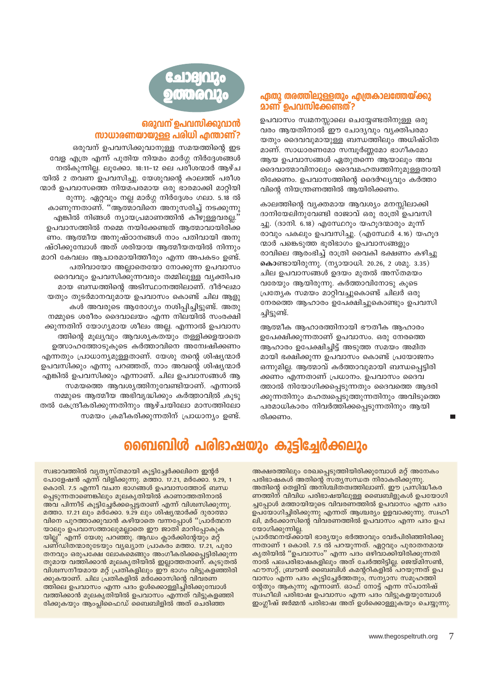# ഏതു തരത്തിലുള്ളതും എത്രകാലത്തേയ്ക്കു **മാണ് ഉപവസിക്കേണ്ടത്?**

ഉപവാസം സ്വമനസ്സാലെ ചെയ്യേണ്ടതിനുള്ള ഒരു വരം ആയതിനാൽ ഈ ചോദ്യവും വ്യക്തിപരമാ യതും ദൈവവുമായുള്ള ബന്ധത്തിലും അധിഷ്ഠിത മാണ്. സാധാരണമോ സമ്പൂർണ്ണമോ ഭാഗീകമോ ആയ ഉപവാസങ്ങൾ ഏതുതന്നെ ആയാലും അവ ദൈവാത്മാവിനാലും ദൈവമഹത്വത്തിനുമുള്ളതായി രിക്കേണം. ഉപവാസത്തിന്റെ ദൈർഘ്യവും കർത്താ വിന്റെ നിയന്ത്രണത്തിൽ ആയിരിക്കണം.

കാലത്തിന്റെ വ്യക്തമായ ആവശ്യം മനസ്സിലാക്കി ദാനിയേലിനുവേണ്ടി രാജാവ് ഒരു രാത്രി ഉപവസി ച്ചു. (ദാനി. 6.18) എസ്ഥേറും യഹുദന്മാരും മുന്ന് രാവും പകലും ഉപവസിച്ചു. (എസ്ഥേർ 4.16) യഹുദ ന്മാർ പങ്കെടുത്ത ഭൂരിഭാഗം ഉപവാസങ്ങളും രാവിലെ ആരംഭിച്ച് രാത്രി വൈകി ഭക്ഷണം കഴിച്ചു കൊണ്ടായിരുന്നു. (നൃായാധി. 20.26, 2 ശമു. 3.35) ചില ഉപവാസങ്ങൾ ഉദയം മുതൽ അസ്തമയം വരേയും ആയിരുന്നു. കർത്താവിനോടു കൂടെ പ്രത്യേക സമയം മാറ്റിവച്ചുകൊണ്ട് ചിലർ ഒരു നേരത്തെ ആഹാരം ഉപേക്ഷിച്ചുകൊണ്ടും ഉപവസി ച്ചിട്ടുണ്ട്.

ആത്മീക ആഹാരത്തിനായി ഭൗതീക ആഹാരം ഉപേക്ഷിക്കുന്നതാണ് ഉപവാസം. ഒരു നേരത്തെ ആഹാരം ഉപേക്ഷിച്ചിട്ട് അടുത്ത സമയം അമിത മായി ഭക്ഷിക്കുന്ന ഉപവാസം കൊണ്ട് പ്രയോജനം ഒന്നുമില്ല. ആത്മാവ് കർത്താവുമായി ബന്ധപ്പെട്ടിരി ക്കണം എന്നതാണ് പ്രധാനം. ഉപവാസം ദൈവ ത്താൽ നിയോഗിക്കപ്പെടുന്നതും ദൈവത്തെ ആദരി ക്കുന്നതിനും മഹത്വപ്പെടുത്തുന്നതിനും അവിടുത്തെ പരമാധികാരം നിവർത്തിക്കപ്പെടുന്നതിനും ആയി രിക്കണം.

# **GADBIQRo** 000012

# <u>ഒരുവന് ഉപവസിക്കുവാൻ</u> സാധാരണയായുള്ള പരിധി എന്താണ്?

ഒരുവന് ഉപവസിക്കുവാനുള്ള സമയത്തിന്റെ ഇട വേള എത്ര എന്ന് പുതിയ നിയമം മാർഗ്ഗ നിർദ്ദേശങ്ങൾ നൽകുന്നില്ല. ലുക്കോ. 18:11-12 ലെ പരീശന്മാർ ആഴ്ച യിൽ 2 തവണ ഉപവസിച്ചു. യേശുവന്റെ കാലത്ത് പരീശ ന്മാർ ഉപവാസത്തെ നിയമപരമായ ഒരു ഭാരമാക്കി മാറ്റിയി രുന്നു. ഏറ്റവും നല്ല മാർഗ്ഗ നിർദ്ദേശം ഗലാ. 5.18 ൽ കാണുന്നതാണ്. ''ആത്മാവിനെ അനുസരിച്ച് നടക്കുന്നു

എങ്കിൽ നിങ്ങൾ ന്യായപ്രമാണത്തിൻ കീഴുള്ളവരല്ല. ഉപവാസത്തിൽ നമ്മെ നയിക്കേണ്ടത് ആത്മാവായിരിക്ക ണം. ആത്മീയ അനുഷ്ഠാനങ്ങൾ നാം പതിവായി അനു ഷ്ഠിക്കുമ്പോൾ അത് ശരിയായ ആത്മീയതയിൽ നിന്നും മാറി കേവലം ആചാരമായിത്തീരും എന്ന അപകടം ഉണ്ട്. പതിവായോ അല്ലാതെയോ നോക്കുന്ന ഉപവാസം ദൈവവും ഉപവസിക്കുന്നവരും തമ്മിലുള്ള വ്യക്തിപര മായ ബന്ധത്തിന്റെ അടിസ്ഥാനത്തിലാണ്. ദീർഘമാ യതും തുടർമാനവുമായ ഉപവാസം കൊണ്ട് ചില ആളു കൾ അവരുടെ ആരോഗ്യം നശിപ്പിച്ചിട്ടുണ്ട്. അതു നമ്മുടെ ശരീരം ദൈവാലയം എന്ന നിലയിൽ സംരക്ഷി ക്കുന്നതിന് യോഗ്യമായ ശീലം അല്ല. എന്നാൽ ഉപവാസ ത്തിന്റെ മൂല്യവും ആവശ്യകതയും തള്ളിക്കളയാതെ ഉത്സാഹത്തോടുകൂടെ കർത്താവിനെ അന്വേഷിക്കണം എന്നതും പ്രാധാന്യമുള്ളതാണ്. യേശു തന്റെ ശിഷ്യന്മാർ ഉപവസിക്കും എന്നു പറഞ്ഞത്, നാം അവന്റെ ശിഷ്യന്മാർ എങ്കിൽ ഉപവസിക്കും എന്നാണ്. ചില ഉപവാസങ്ങൾ ആ സമയത്തെ ആവശ്യത്തിനുവേണ്ടിയാണ്. എന്നാൽ നമ്മുടെ ആത്മീയ അഭിവൃദ്ധിക്കും കർത്താവിൽ കൂടു തൽ കേന്ദ്രീകരിക്കുന്നതിനും ആഴ്ചയിലോ മാസത്തിലോ സമയം ക്രമീകരിക്കുന്നതിന് പ്രാധാന്യം ഉണ്ട്.

# ബൈബിൾ പരിഭാഷയും കൂട്ടിച്ചേർക്കലും

അക്ഷരത്തിലും രേഖപ്പെടുത്തിയിരിക്കുമ്പോൾ മറ്റ് അനേകം പരിഭാഷകൾ അതിന്റെ സതൃസന്ധത നിരാകരിക്കുന്നു. അതിന്റെ തെളിവ് അനിശ്ചിതത്വത്തിലാണ്. ഈ പ്രസിദ്ധീകര ണത്തിന് വിവിധ പരിഭാഷയിലുള്ള ബൈബിളുകൾ ഉപയോഗി ച്ചപ്പോൾ മത്തായിയുടെ വിവരണത്തിൽ ഉപവാസം എന്ന പദം ഉപയോഗിച്ചിരിക്കുന്നു എന്നത് ആശ്ചര്യം ഉളവാക്കുന്നു. സ്വഹീ ലി, മർക്കോസിന്റെ വിവരണത്തിൽ ഉപവാസം എന്ന പദം ഉപ യോഗിക്കുന്നില്ല.

പ്രാർത്ഥനയ്ക്കായി ഭാരൃയും ഭർത്താവും വേർപിരിഞ്ഞിരിക്കു ന്നതാണ് 1 കൊരി. 7.5 ൽ പറയുന്നത്. ഏറ്റവും പുരാതനമായ കൃതിയിൽ ''ഉപവാസം'' എന്ന പദം ഒഴിവാക്കിയിരിക്കുന്നതി നാൽ പലപരിഭാഷകളിലും അത് ചേർത്തിട്ടില്ല. ജെയ്മിസൺ, ഫൗസറ്റ്, ബ്രൗൺ ബൈബിൾ കമന്ററികളിൽ പറയുന്നത് ഉപ വാസം എന്ന പദം കൂട്ടിച്ചേർത്തതും, സന്യാസ സമൂഹത്തി ന്റേതും ആകുന്നു എന്നാണ്. ഓഫ് നോട്ട് എന്ന സ്പാനിഷ് സ്ഥാീലി പരിഭാഷ ഉപവാസം എന്ന പദം വിട്ടുകളയുമ്പോൾ ഇംഗ്ലീഷ് ജർമ്മൻ പരിഭാഷ അത് ഉൾക്കൊള്ളുകയും ചെയ്യുന്നു.

സ്വഭാവത്തിൽ വ്യത്യസ്തമായി കൂട്ടിച്ചേർക്കലിനെ ഇന്റർ പോളേഷൻ എന്ന് വിളിക്കുന്നു. മത്താ. 17.21, മർക്കോ. 9.29, 1 കൊരി. 7.5 എന്നീ വചന ഭാഗങ്ങൾ ഉപവാസത്തോട് ബന്ധ പ്പെടുന്നതാണെങ്കിലും മൂലകൃതിയിൽ കാണാത്തതിനാൽ അവ പിന്നീട് കൂട്ടിച്ചേർക്കപ്പെട്ടതാണ് എന്ന് വിശ്വസിക്കുന്നു. മത്താ. 17.21 ലും മർക്കോ. 9.29 ലും ശിഷ്യന്മാർക്ക് ദുരാത്മാ വിനെ പുറത്താക്കുവാൻ കഴിയാതെ വന്നപ്പോൾ "പ്രാർത്ഥന യാലും ഉപവാസത്താലുമല്ലാതെ ഈ ജാതി മാറിപ്പോകുക യില്ല" എന്ന് യേശു പറഞ്ഞു. ആഡം ക്ലാർക്കിന്റേയും മറ്റ് പണ്ഡിതന്മാരുടേയും വൃഖ്യാന പ്രാക്രം മത്താ. 17.21, പുരാ തനവും ഒരുപക്ഷേ ലോകമെങ്ങും അംഗീകരിക്കപ്പെട്ടിരിക്കുന്ന തുമായ വത്തിക്കാൻ മുലകൃതിയിൽ ഇല്ലാത്തതാണ്. കൂടുതൽ വിശ്വസനീയമായ മറ്റ് പ്രതികളിലും ഈ ഭാഗം വിട്ടുകളഞ്ഞിരി ക്കുകയാണ്. ചില പ്രതികളിൽ മർക്കോസിന്റെ വിവരണ ത്തിലെ ഉപവാസം എന്ന പദം ഉൾക്കൊള്ളിച്ചിരിക്കുമ്പോൾ വത്തിക്കാൻ മൂലകൃതിയിൽ ഉപവാസം എന്നത് വിട്ടുകളഞ്ഞി രിക്കുകയും ആംപ്ലിഫൈഡ് ബൈബിളിൽ അത് ചെരിഞ്ഞ